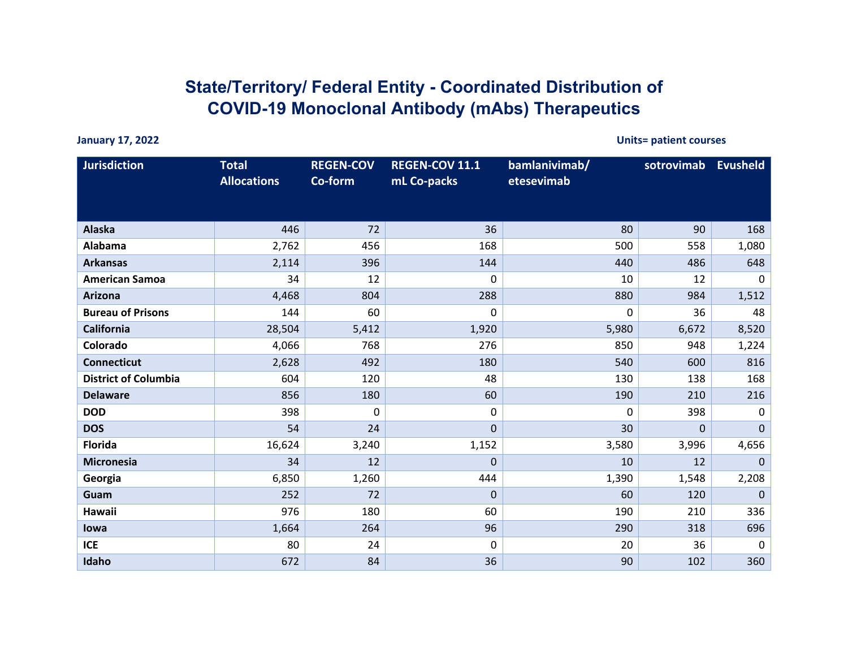## **State/Territory/ Federal Entity - Coordinated Distribution of COVID-19 Monoclonal Antibody (mAbs) Therapeutics**

**January 17, 2022 Units= patient courses**

| <b>Jurisdiction</b>         | <b>Total</b><br><b>Allocations</b> | <b>REGEN-COV</b><br>Co-form | <b>REGEN-COV 11.1</b><br>mL Co-packs | bamlanivimab/<br>etesevimab | sotrovimab   | <b>Evusheld</b> |
|-----------------------------|------------------------------------|-----------------------------|--------------------------------------|-----------------------------|--------------|-----------------|
| Alaska                      | 446                                | 72                          | 36                                   | 80                          | 90           | 168             |
| Alabama                     | 2,762                              | 456                         | 168                                  | 500                         | 558          | 1,080           |
| <b>Arkansas</b>             | 2,114                              | 396                         | 144                                  | 440                         | 486          | 648             |
| <b>American Samoa</b>       | 34                                 | 12                          | 0                                    | 10                          | 12           | $\mathbf 0$     |
| <b>Arizona</b>              | 4,468                              | 804                         | 288                                  | 880                         | 984          | 1,512           |
| <b>Bureau of Prisons</b>    | 144                                | 60                          | 0                                    | 0                           | 36           | 48              |
| <b>California</b>           | 28,504                             | 5,412                       | 1,920                                | 5,980                       | 6,672        | 8,520           |
| Colorado                    | 4,066                              | 768                         | 276                                  | 850                         | 948          | 1,224           |
| <b>Connecticut</b>          | 2,628                              | 492                         | 180                                  | 540                         | 600          | 816             |
| <b>District of Columbia</b> | 604                                | 120                         | 48                                   | 130                         | 138          | 168             |
| <b>Delaware</b>             | 856                                | 180                         | 60                                   | 190                         | 210          | 216             |
| <b>DOD</b>                  | 398                                | 0                           | 0                                    | 0                           | 398          | $\mathbf 0$     |
| <b>DOS</b>                  | 54                                 | 24                          | $\mathbf{0}$                         | 30                          | $\mathbf{0}$ | $\mathbf{0}$    |
| <b>Florida</b>              | 16,624                             | 3,240                       | 1,152                                | 3,580                       | 3,996        | 4,656           |
| <b>Micronesia</b>           | 34                                 | 12                          | $\Omega$                             | 10                          | 12           | $\mathbf{0}$    |
| Georgia                     | 6,850                              | 1,260                       | 444                                  | 1,390                       | 1,548        | 2,208           |
| Guam                        | 252                                | 72                          | 0                                    | 60                          | 120          | $\mathbf 0$     |
| Hawaii                      | 976                                | 180                         | 60                                   | 190                         | 210          | 336             |
| lowa                        | 1,664                              | 264                         | 96                                   | 290                         | 318          | 696             |
| <b>ICE</b>                  | 80                                 | 24                          | 0                                    | 20                          | 36           | 0               |
| Idaho                       | 672                                | 84                          | 36                                   | 90                          | 102          | 360             |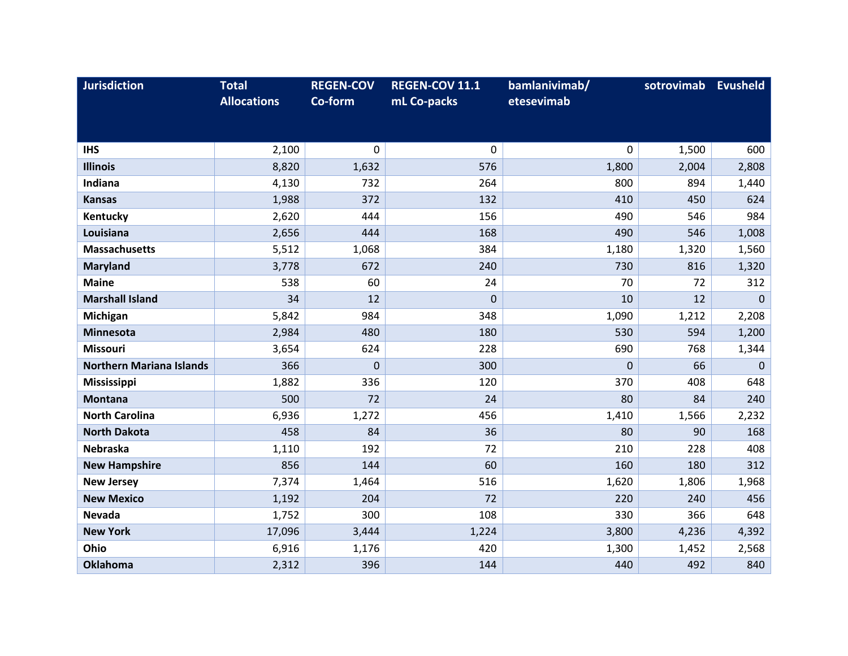| <b>Jurisdiction</b>             | <b>Total</b>       | <b>REGEN-COV</b> | <b>REGEN-COV 11.1</b> | bamlanivimab/ | sotrovimab | <b>Evusheld</b> |
|---------------------------------|--------------------|------------------|-----------------------|---------------|------------|-----------------|
|                                 | <b>Allocations</b> | Co-form          | mL Co-packs           | etesevimab    |            |                 |
|                                 |                    |                  |                       |               |            |                 |
| <b>IHS</b>                      | 2,100              | $\mathbf 0$      | $\mathbf 0$           | $\mathbf{0}$  | 1,500      | 600             |
| <b>Illinois</b>                 | 8,820              | 1,632            | 576                   | 1,800         | 2,004      | 2,808           |
| Indiana                         | 4,130              | 732              | 264                   | 800           | 894        | 1,440           |
| <b>Kansas</b>                   | 1,988              | 372              | 132                   | 410           | 450        | 624             |
| Kentucky                        | 2,620              | 444              | 156                   | 490           | 546        | 984             |
| Louisiana                       | 2,656              | 444              | 168                   | 490           | 546        | 1,008           |
| <b>Massachusetts</b>            | 5,512              | 1,068            | 384                   | 1,180         | 1,320      | 1,560           |
| <b>Maryland</b>                 | 3,778              | 672              | 240                   | 730           | 816        | 1,320           |
| <b>Maine</b>                    | 538                | 60               | 24                    | 70            | 72         | 312             |
| <b>Marshall Island</b>          | 34                 | 12               | $\mathbf{0}$          | 10            | 12         | $\mathbf{0}$    |
| Michigan                        | 5,842              | 984              | 348                   | 1,090         | 1,212      | 2,208           |
| <b>Minnesota</b>                | 2,984              | 480              | 180                   | 530           | 594        | 1,200           |
| <b>Missouri</b>                 | 3,654              | 624              | 228                   | 690           | 768        | 1,344           |
| <b>Northern Mariana Islands</b> | 366                | $\mathbf 0$      | 300                   | $\Omega$      | 66         | $\mathbf{0}$    |
| <b>Mississippi</b>              | 1,882              | 336              | 120                   | 370           | 408        | 648             |
| <b>Montana</b>                  | 500                | 72               | 24                    | 80            | 84         | 240             |
| <b>North Carolina</b>           | 6,936              | 1,272            | 456                   | 1,410         | 1,566      | 2,232           |
| <b>North Dakota</b>             | 458                | 84               | 36                    | 80            | 90         | 168             |
| Nebraska                        | 1,110              | 192              | 72                    | 210           | 228        | 408             |
| <b>New Hampshire</b>            | 856                | 144              | 60                    | 160           | 180        | 312             |
| <b>New Jersey</b>               | 7,374              | 1,464            | 516                   | 1,620         | 1,806      | 1,968           |
| <b>New Mexico</b>               | 1,192              | 204              | 72                    | 220           | 240        | 456             |
| Nevada                          | 1,752              | 300              | 108                   | 330           | 366        | 648             |
| <b>New York</b>                 | 17,096             | 3,444            | 1,224                 | 3,800         | 4,236      | 4,392           |
| Ohio                            | 6,916              | 1,176            | 420                   | 1,300         | 1,452      | 2,568           |
| <b>Oklahoma</b>                 | 2,312              | 396              | 144                   | 440           | 492        | 840             |